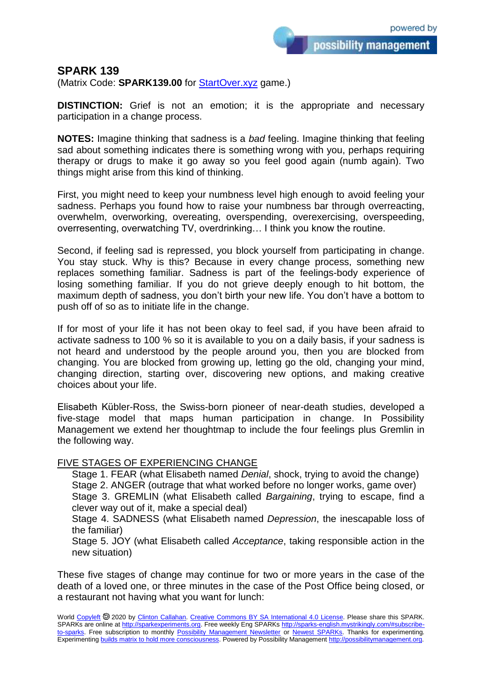possibility management

## **SPARK 139**

(Matrix Code: **SPARK139.00** for **StartOver.xyz** game.)

**DISTINCTION:** Grief is not an emotion; it is the appropriate and necessary participation in a change process.

**NOTES:** Imagine thinking that sadness is a *bad* feeling. Imagine thinking that feeling sad about something indicates there is something wrong with you, perhaps requiring therapy or drugs to make it go away so you feel good again (numb again). Two things might arise from this kind of thinking.

First, you might need to keep your numbness level high enough to avoid feeling your sadness. Perhaps you found how to raise your numbness bar through overreacting, overwhelm, overworking, overeating, overspending, overexercising, overspeeding, overresenting, overwatching TV, overdrinking… I think you know the routine.

Second, if feeling sad is repressed, you block yourself from participating in change. You stay stuck. Why is this? Because in every change process, something new replaces something familiar. Sadness is part of the feelings-body experience of losing something familiar. If you do not grieve deeply enough to hit bottom, the maximum depth of sadness, you don't birth your new life. You don't have a bottom to push off of so as to initiate life in the change.

If for most of your life it has not been okay to feel sad, if you have been afraid to activate sadness to 100 % so it is available to you on a daily basis, if your sadness is not heard and understood by the people around you, then you are blocked from changing. You are blocked from growing up, letting go the old, changing your mind, changing direction, starting over, discovering new options, and making creative choices about your life.

Elisabeth Kübler-Ross, the Swiss-born pioneer of near-death studies, developed a five-stage model that maps human participation in change. In Possibility Management we extend her thoughtmap to include the four feelings plus Gremlin in the following way.

## FIVE STAGES OF EXPERIENCING CHANGE

Stage 1. FEAR (what Elisabeth named *Denial*, shock, trying to avoid the change) Stage 2. ANGER (outrage that what worked before no longer works, game over) Stage 3. GREMLIN (what Elisabeth called *Bargaining*, trying to escape, find a clever way out of it, make a special deal)

Stage 4. SADNESS (what Elisabeth named *Depression*, the inescapable loss of the familiar)

Stage 5. JOY (what Elisabeth called *Acceptance*, taking responsible action in the new situation)

These five stages of change may continue for two or more years in the case of the death of a loved one, or three minutes in the case of the Post Office being closed, or a restaurant not having what you want for lunch: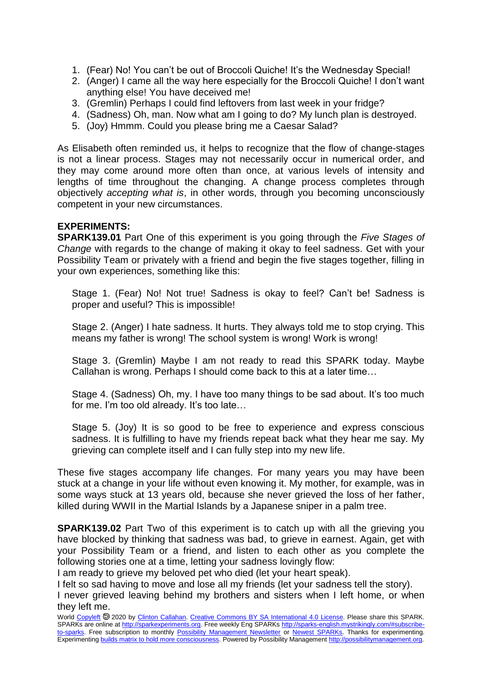- 1. (Fear) No! You can't be out of Broccoli Quiche! It's the Wednesday Special!
- 2. (Anger) I came all the way here especially for the Broccoli Quiche! I don't want anything else! You have deceived me!
- 3. (Gremlin) Perhaps I could find leftovers from last week in your fridge?
- 4. (Sadness) Oh, man. Now what am I going to do? My lunch plan is destroyed.
- 5. (Joy) Hmmm. Could you please bring me a Caesar Salad?

As Elisabeth often reminded us, it helps to recognize that the flow of change-stages is not a linear process. Stages may not necessarily occur in numerical order, and they may come around more often than once, at various levels of intensity and lengths of time throughout the changing. A change process completes through objectively *accepting what is*, in other words, through you becoming unconsciously competent in your new circumstances.

## **EXPERIMENTS:**

**SPARK139.01** Part One of this experiment is you going through the *Five Stages of Change* with regards to the change of making it okay to feel sadness. Get with your Possibility Team or privately with a friend and begin the five stages together, filling in your own experiences, something like this:

Stage 1. (Fear) No! Not true! Sadness is okay to feel? Can't be! Sadness is proper and useful? This is impossible!

Stage 2. (Anger) I hate sadness. It hurts. They always told me to stop crying. This means my father is wrong! The school system is wrong! Work is wrong!

Stage 3. (Gremlin) Maybe I am not ready to read this SPARK today. Maybe Callahan is wrong. Perhaps I should come back to this at a later time…

Stage 4. (Sadness) Oh, my. I have too many things to be sad about. It's too much for me. I'm too old already. It's too late…

Stage 5. (Joy) It is so good to be free to experience and express conscious sadness. It is fulfilling to have my friends repeat back what they hear me say. My grieving can complete itself and I can fully step into my new life.

These five stages accompany life changes. For many years you may have been stuck at a change in your life without even knowing it. My mother, for example, was in some ways stuck at 13 years old, because she never grieved the loss of her father, killed during WWII in the Martial Islands by a Japanese sniper in a palm tree.

**SPARK139.02** Part Two of this experiment is to catch up with all the grieving you have blocked by thinking that sadness was bad, to grieve in earnest. Again, get with your Possibility Team or a friend, and listen to each other as you complete the following stories one at a time, letting your sadness lovingly flow:

I am ready to grieve my beloved pet who died (let your heart speak).

I felt so sad having to move and lose all my friends (let your sadness tell the story).

I never grieved leaving behind my brothers and sisters when I left home, or when they left me.